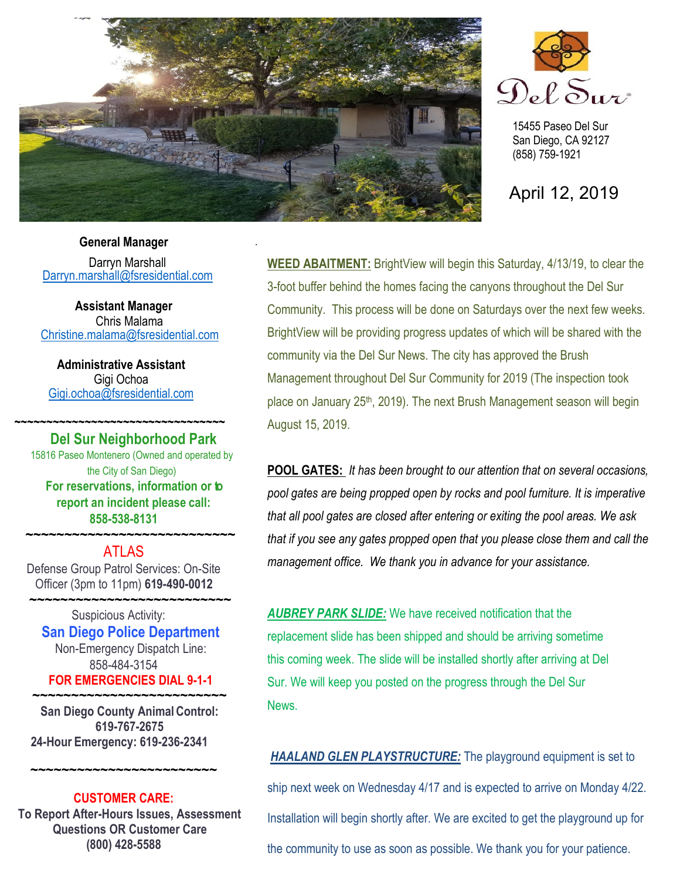

.



15455 Paseo Del Sur San Diego, CA 92127 (858) 759-1921

April 12, 2019

# **General Manager**

Darryn Marshall [Darryn.marshall@fsresidential.com](mailto:Darryn.marshall@fsresidential.com)

**Assistant Manager** Chris Malama [Christine.malama@fsresidential.com](mailto:Christine.malama@fsresidential.com)

**Administrative Assistant**  Gigi Ochoa [Gigi.ochoa@fsresidential.com](mailto:Gigi.ochoa@fsresidential.com)

### **~~~~~~~~~~~~~~~~~~~~~~~~~~~~~~~~~ Del Sur Neighborhood Park**

15816 Paseo Montenero (Owned and operated by the City of San Diego) **For reservations, information or to report an incident please call: 858-538-8131**

# **~~~~~~~~~~~~~~~~~~~~~~~~~~~** ATLAS

Defense Group Patrol Services: On-Site Officer (3pm to 11pm) **619-490-0012**

 **~~~~~~~~~~~~~~~~~~~~~~~~~~** Suspicious Activity: **San Diego Police Department** Non-Emergency Dispatch Line: 858-484-3154 **FOR EMERGENCIES DIAL 9-1-1**

**~~~~~~~~~~~~~~~~~~~~~~~~~ San Diego County Animal Control: 619-767-2675 24-Hour Emergency: 619-236-2341**

# **CUSTOMER CARE:**

**~~~~~~~~~~~~~~~~~~~~~~~~**

**To Report After-Hours Issues, Assessment Questions OR Customer Care (800) 428-5588**

**WEED ABAITMENT:** BrightView will begin this Saturday, 4/13/19, to clear the 3-foot buffer behind the homes facing the canyons throughout the Del Sur Community. This process will be done on Saturdays over the next few weeks. BrightView will be providing progress updates of which will be shared with the community via the Del Sur News. The city has approved the Brush Management throughout Del Sur Community for 2019 (The inspection took place on January 25<sup>th</sup>, 2019). The next Brush Management season will begin August 15, 2019.

**POOL GATES:** *It has been brought to our attention that on several occasions, pool gates are being propped open by rocks and pool furniture. It is imperative that all pool gates are closed after entering or exiting the pool areas. We ask that if you see any gates propped open that you please close them and call the management office. We thank you in advance for your assistance.*

*AUBREY PARK SLIDE:* We have received notification that the replacement slide has been shipped and should be arriving sometime this coming week. The slide will be installed shortly after arriving at Del Sur. We will keep you posted on the progress through the Del Sur News.

*HAALAND GLEN PLAYSTRUCTURE:* The playground equipment is set to ship next week on Wednesday 4/17 and is expected to arrive on Monday 4/22. Installation will begin shortly after. We are excited to get the playground up for the community to use as soon as possible. We thank you for your patience.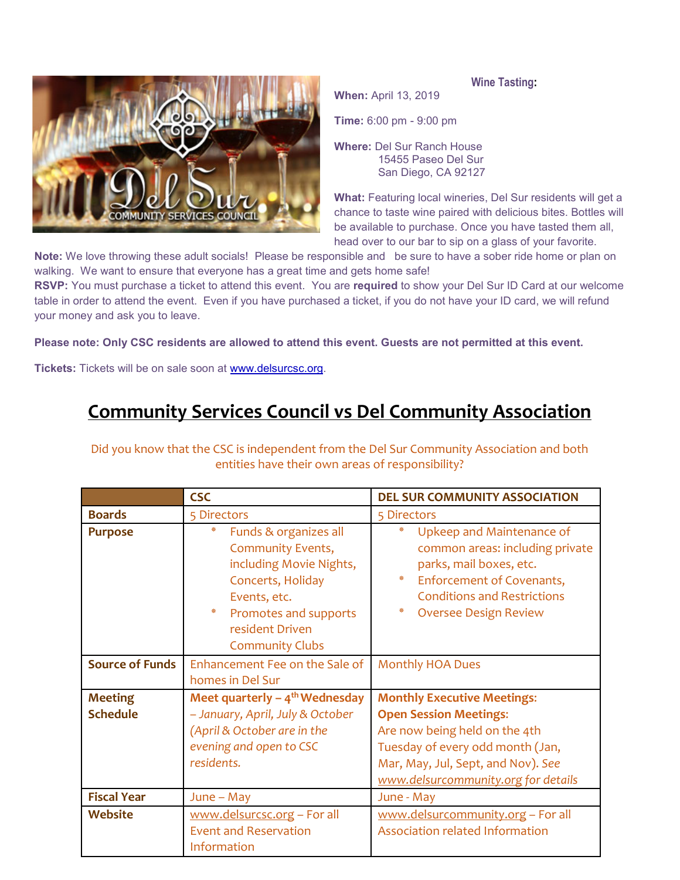**When:** April 13, 2019





**Time:** 6:00 pm - 9:00 pm

**Where:** Del Sur Ranch House 15455 Paseo Del Sur San Diego, CA 92127

**What:** Featuring local wineries, Del Sur residents will get a chance to taste wine paired with delicious bites. Bottles will be available to purchase. Once you have tasted them all, head over to our bar to sip on a glass of your favorite.

**Note:** We love throwing these adult socials! Please be responsible and be sure to have a sober ride home or plan on walking. We want to ensure that everyone has a great time and gets home safe!

**RSVP:** You must purchase a ticket to attend this event. You are **required** to show your Del Sur ID Card at our welcome table in order to attend the event. Even if you have purchased a ticket, if you do not have your ID card, we will refund your money and ask you to leave.

**Please note: Only CSC residents are allowed to attend this event. Guests are not permitted at this event.**

**Tickets:** Tickets will be on sale soon at [www.delsurcsc.org.](http://www.delsurcsc.org/)

# **Community Services Council vs Del Community Association**

Did you know that the CSC is independent from the Del Sur Community Association and both entities have their own areas of responsibility?

|                        | <b>CSC</b>                                                                                                                                                                                        | <b>DEL SUR COMMUNITY ASSOCIATION</b>                                                                                                                                                                      |
|------------------------|---------------------------------------------------------------------------------------------------------------------------------------------------------------------------------------------------|-----------------------------------------------------------------------------------------------------------------------------------------------------------------------------------------------------------|
| <b>Boards</b>          | 5 Directors                                                                                                                                                                                       | 5 Directors                                                                                                                                                                                               |
| <b>Purpose</b>         | ∗<br>Funds & organizes all<br><b>Community Events,</b><br>including Movie Nights,<br>Concerts, Holiday<br>Events, etc.<br>☀<br>Promotes and supports<br>resident Driven<br><b>Community Clubs</b> | ₩<br>Upkeep and Maintenance of<br>common areas: including private<br>parks, mail boxes, etc.<br>*<br>Enforcement of Covenants,<br><b>Conditions and Restrictions</b><br>₩<br><b>Oversee Design Review</b> |
| <b>Source of Funds</b> | Enhancement Fee on the Sale of                                                                                                                                                                    | <b>Monthly HOA Dues</b>                                                                                                                                                                                   |
|                        | homes in Del Sur                                                                                                                                                                                  |                                                                                                                                                                                                           |
| <b>Meeting</b>         | Meet quarterly $-4$ <sup>th</sup> Wednesday                                                                                                                                                       | <b>Monthly Executive Meetings:</b>                                                                                                                                                                        |
| <b>Schedule</b>        | - January, April, July & October                                                                                                                                                                  | <b>Open Session Meetings:</b>                                                                                                                                                                             |
|                        | (April & October are in the                                                                                                                                                                       | Are now being held on the 4th                                                                                                                                                                             |
|                        | evening and open to CSC                                                                                                                                                                           | Tuesday of every odd month (Jan,                                                                                                                                                                          |
|                        | residents.                                                                                                                                                                                        | Mar, May, Jul, Sept, and Nov). See                                                                                                                                                                        |
|                        |                                                                                                                                                                                                   | www.delsurcommunity.org for details                                                                                                                                                                       |
| <b>Fiscal Year</b>     | $June - May$                                                                                                                                                                                      | June - May                                                                                                                                                                                                |
| <b>Website</b>         | www.delsurcsc.org - For all                                                                                                                                                                       | www.delsurcommunity.org - For all                                                                                                                                                                         |
|                        | <b>Event and Reservation</b>                                                                                                                                                                      | Association related Information                                                                                                                                                                           |
|                        | Information                                                                                                                                                                                       |                                                                                                                                                                                                           |